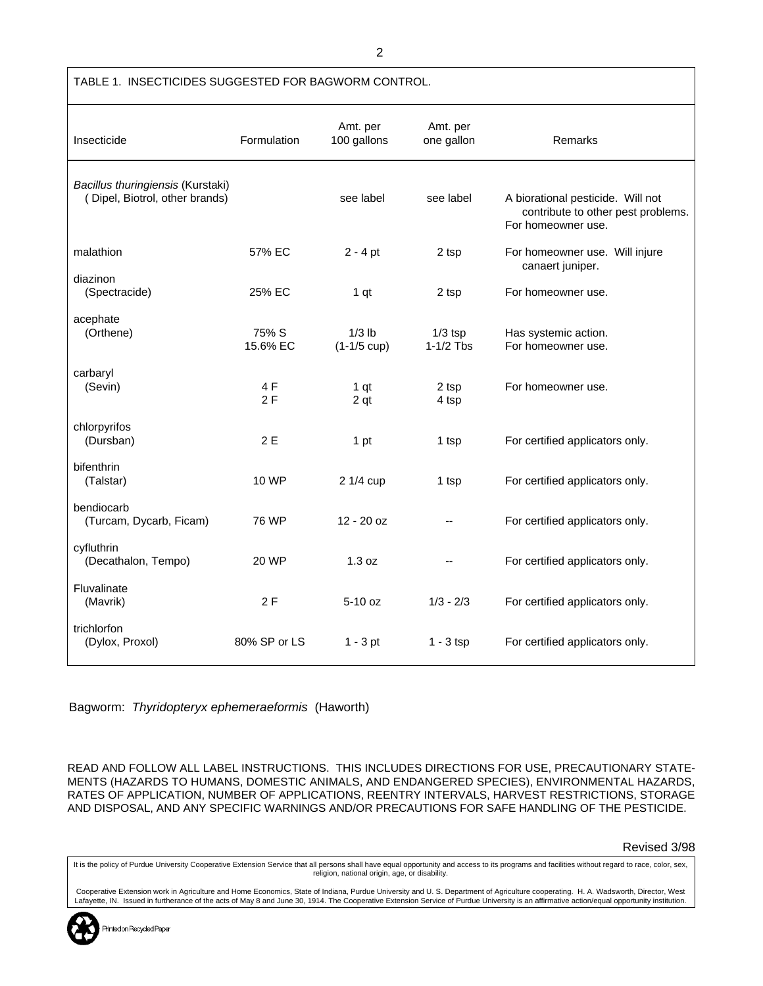| TABLE 1. INSECTICIDES SUGGESTED FOR BAGWORM CONTROL.                |                   |                                    |                          |                                                                                               |
|---------------------------------------------------------------------|-------------------|------------------------------------|--------------------------|-----------------------------------------------------------------------------------------------|
| Insecticide                                                         | Formulation       | Amt. per<br>100 gallons            | Amt. per<br>one gallon   | <b>Remarks</b>                                                                                |
| Bacillus thuringiensis (Kurstaki)<br>(Dipel, Biotrol, other brands) |                   | see label                          | see label                | A biorational pesticide. Will not<br>contribute to other pest problems.<br>For homeowner use. |
| malathion                                                           | 57% EC            | $2 - 4$ pt                         | 2 tsp                    | For homeowner use. Will injure<br>canaert juniper.                                            |
| diazinon<br>(Spectracide)                                           | 25% EC            | 1 <sub>qt</sub>                    | 2 tsp                    | For homeowner use.                                                                            |
| acephate<br>(Orthene)                                               | 75% S<br>15.6% EC | $1/3$ lb<br>$(1-1/5 \text{ cup})$  | $1/3$ tsp<br>$1-1/2$ Tbs | Has systemic action.<br>For homeowner use.                                                    |
| carbaryl<br>(Sevin)                                                 | 4 F<br>2F         | 1 <sub>qt</sub><br>2 <sub>qt</sub> | 2 tsp<br>4 tsp           | For homeowner use.                                                                            |
| chlorpyrifos<br>(Dursban)                                           | 2E                | 1 pt                               | 1 tsp                    | For certified applicators only.                                                               |
| bifenthrin<br>(Talstar)                                             | 10 WP             | 2 1/4 cup                          | 1 tsp                    | For certified applicators only.                                                               |
| bendiocarb<br>(Turcam, Dycarb, Ficam)                               | 76 WP             | $12 - 20$ oz                       | $\overline{\phantom{a}}$ | For certified applicators only.                                                               |
| cyfluthrin<br>(Decathalon, Tempo)                                   | 20 WP             | 1.3 oz                             |                          | For certified applicators only.                                                               |
| Fluvalinate<br>(Mavrik)                                             | 2F                | $5-10$ oz                          | $1/3 - 2/3$              | For certified applicators only.                                                               |
| trichlorfon<br>(Dylox, Proxol)                                      | 80% SP or LS      | $1 - 3$ pt                         | $1 - 3$ tsp              | For certified applicators only.                                                               |

Bagworm: *Thyridopteryx ephemeraeformis* (Haworth)

READ AND FOLLOW ALL LABEL INSTRUCTIONS. THIS INCLUDES DIRECTIONS FOR USE, PRECAUTIONARY STATE-MENTS (HAZARDS TO HUMANS, DOMESTIC ANIMALS, AND ENDANGERED SPECIES), ENVIRONMENTAL HAZARDS, RATES OF APPLICATION, NUMBER OF APPLICATIONS, REENTRY INTERVALS, HARVEST RESTRICTIONS, STORAGE AND DISPOSAL, AND ANY SPECIFIC WARNINGS AND/OR PRECAUTIONS FOR SAFE HANDLING OF THE PESTICIDE.

Revised 3/98

It is the policy of Purdue University Cooperative Extension Service that all persons shall have equal opportunity and access to its programs and facilities without regard to race, color, sex, religion, national origin, age, or disability.

Cooperative Extension work in Agriculture and Home Economics, State of Indiana, Purdue University and U. S. Department of Agriculture cooperating. H. A. Wadsworth, Director, West<br>Lafayette, IN. Issued in furtherance of the

2